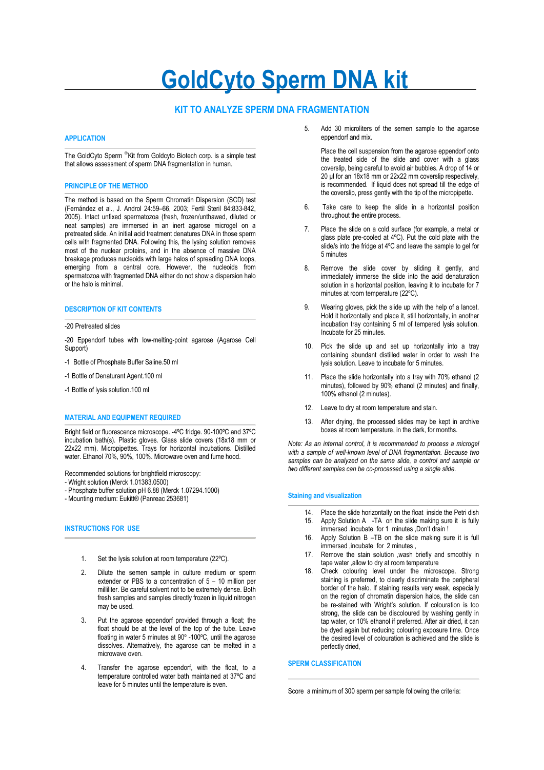# **GoldCyto Sperm DNA kit**

# **KIT TO ANALYZE SPERM DNA FRAGMENTATION**

### **APPLICATION**

The GoldCyto Sperm ®Kit from Goldcyto Biotech corp. is a simple test that allows assessment of sperm DNA fragmentation in human.

#### **PRINCIPLE OF THE METHOD**

The method is based on the Sperm Chromatin Dispersion (SCD) test (Fernández et al., J. Androl 24:59–66, 2003; Fertil Steril 84:833-842, 2005). Intact unfixed spermatozoa (fresh, frozen/unthawed, diluted or neat samples) are immersed in an inert agarose microgel on a pretreated slide. An initial acid treatment denatures DNA in those sperm cells with fragmented DNA. Following this, the lysing solution removes most of the nuclear proteins, and in the absence of massive DNA breakage produces nucleoids with large halos of spreading DNA loops, emerging from a central core. However, the nucleoids from spermatozoa with fragmented DNA either do not show a dispersion halo or the halo is minimal.

# **DESCRIPTION OF KIT CONTENTS**

#### -20 Pretreated slides

-20 Eppendorf tubes with low-melting-point agarose (Agarose Cell Support)

- -1 Bottle of Phosphate Buffer Saline.50 ml
- -1 Bottle of Denaturant Agent.100 ml
- -1 Bottle of lysis solution.100 ml

#### **MATERIAL AND EQUIPMENT REQUIRED**

Bright field or fluorescence microscope. -4ºC fridge. 90-100ºC and 37ºC incubation bath(s). Plastic gloves. Glass slide covers (18x18 mm or 22x22 mm). Micropipettes. Trays for horizontal incubations. Distilled water. Ethanol 70%, 90%, 100%. Microwave oven and fume hood.

Recommended solutions for brightfield microscopy:

- Wright solution (Merck 1.01383.0500)
- Phosphate buffer solution pH 6.88 (Merck 1.07294.1000)
- Mounting medium: Eukitt® (Panreac 253681)

# **INSTRUCTIONS FOR USE**

- 1. Set the lysis solution at room temperature (22ºC).
- 2. Dilute the semen sample in culture medium or sperm extender or PBS to a concentration of 5 – 10 million per milliliter. Be careful solvent not to be extremely dense. Both fresh samples and samples directly frozen in liquid nitrogen may be used.
- 3. Put the agarose eppendorf provided through a float; the float should be at the level of the top of the tube. Leave floating in water 5 minutes at 90º -100ºC, until the agarose dissolves. Alternatively, the agarose can be melted in a microwave oven.
- 4. Transfer the agarose eppendorf, with the float, to a temperature controlled water bath maintained at 37ºC and leave for 5 minutes until the temperature is even.

5. Add 30 microliters of the semen sample to the agarose eppendorf and mix.

Place the cell suspension from the agarose eppendorf onto the treated side of the slide and cover with a glass coverslip, being careful to avoid air bubbles. A drop of 14 or 20 μl for an 18x18 mm or 22x22 mm coverslip respectively, is recommended. If liquid does not spread till the edge of the coverslip, press gently with the tip of the micropipette.

- 6. Take care to keep the slide in a horizontal position throughout the entire process.
- 7. Place the slide on a cold surface (for example, a metal or glass plate pre-cooled at 4ºC). Put the cold plate with the slide/s into the fridge at 4ºC and leave the sample to gel for 5 minutes
- 8. Remove the slide cover by sliding it gently, and immediately immerse the slide into the acid denaturation solution in a horizontal position, leaving it to incubate for 7 minutes at room temperature (22ºC).
- 9. Wearing gloves, pick the slide up with the help of a lancet. Hold it horizontally and place it, still horizontally, in another incubation tray containing 5 ml of tempered lysis solution. Incubate for 25 minutes.
- 10. Pick the slide up and set up horizontally into a tray containing abundant distilled water in order to wash the lysis solution. Leave to incubate for 5 minutes.
- 11. Place the slide horizontally into a tray with 70% ethanol (2 minutes), followed by 90% ethanol (2 minutes) and finally, 100% ethanol (2 minutes).
- 12. Leave to dry at room temperature and stain.
- 13. After drying, the processed slides may be kept in archive boxes at room temperature, in the dark, for months.

*Note: As an internal control, it is recommended to process a microgel with a sample of well-known level of DNA fragmentation. Because two samples can be analyzed on the same slide, a control and sample or two different samples can be co-processed using a single slide.* 

#### **Staining and visualization**

- Place the slide horizontally on the float inside the Petri dish
- 15. Apply Solution A -TA on the slide making sure it is fully immersed .incubate for 1 minutes ,Don't drain !
- 16. Apply Solution B -TB on the slide making sure it is full immersed ,incubate for 2 minutes ,
- 17. Remove the stain solution ,wash briefly and smoothly in tape water ,allow to dry at room temperature
- 18. Check colouring level under the microscope. Strong staining is preferred, to clearly discriminate the peripheral border of the halo. If staining results very weak, especially on the region of chromatin dispersion halos, the slide can be re-stained with Wright's solution. If colouration is too strong, the slide can be discoloured by washing gently in tap water, or 10% ethanol if preferred. After air dried, it can be dyed again but reducing colouring exposure time. Once the desired level of colouration is achieved and the slide is perfectly dried,

**SPERM CLASSIFICATION**

Score a minimum of 300 sperm per sample following the criteria: